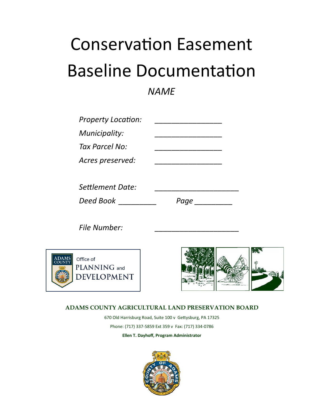# Conservation Easement Baseline Documentation

## *NAME*

| <b>Property Location:</b> |      |
|---------------------------|------|
| Municipality:             |      |
| Tax Parcel No:            |      |
| Acres preserved:          |      |
|                           |      |
| Settlement Date:          |      |
| Deed Book                 | Page |

*File Number: \_\_\_\_\_\_\_\_\_\_\_\_\_\_\_\_\_\_\_\_*





### **ADAMS COUNTY AGRICULTURAL LAND PRESERVATION BOARD**

670 Old Harrisburg Road, Suite 100 v Gettysburg, PA 17325 Phone: (717) 337-5859 Ext 359 v Fax: (717) 334-0786 **Ellen T. Dayhoff, Program Administrator**

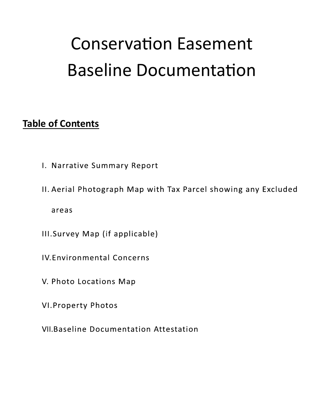# **Conservation Easement Baseline Documentation**

# **Table of Contents**

- I. Narrative Summary Report
- II. Aerial Photograph Map with Tax Parcel showing any Excluded areas
- III.Survey Map (if applicable)
- **IV.Environmental Concerns**
- V. Photo Locations Map
- **VI. Property Photos**
- **VII.Baseline Documentation Attestation**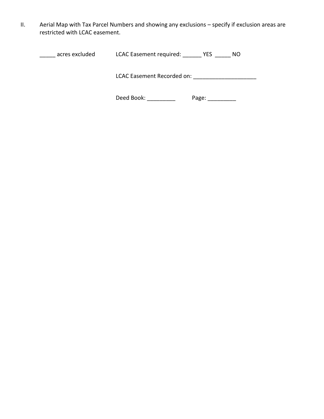II. Aerial Map with Tax Parcel Numbers and showing any exclusions – specify if exclusion areas are restricted with LCAC easement.

| acres excluded | LCAC Easement required: | YES | NO. |
|----------------|-------------------------|-----|-----|
|                |                         |     |     |

LCAC Easement Recorded on: \_\_\_\_\_\_\_\_\_\_\_\_\_\_\_\_\_\_\_\_

Deed Book: \_\_\_\_\_\_\_\_\_\_\_ Page: \_\_\_\_\_\_\_\_\_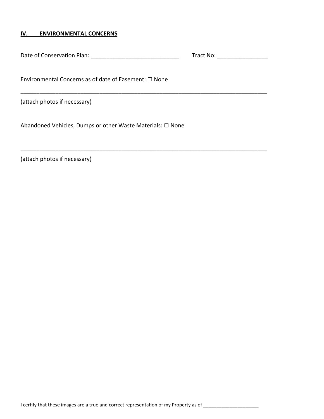#### **IV. ENVIRONMENTAL CONCERNS**

Date of Conservation Plan: \_\_\_\_\_\_\_\_\_\_\_\_\_\_\_\_\_\_\_\_\_\_\_\_\_\_\_\_ Tract No: \_\_\_\_\_\_\_\_\_\_\_\_\_\_\_\_

\_\_\_\_\_\_\_\_\_\_\_\_\_\_\_\_\_\_\_\_\_\_\_\_\_\_\_\_\_\_\_\_\_\_\_\_\_\_\_\_\_\_\_\_\_\_\_\_\_\_\_\_\_\_\_\_\_\_\_\_\_\_\_\_\_\_\_\_\_\_\_\_\_\_\_\_\_\_

\_\_\_\_\_\_\_\_\_\_\_\_\_\_\_\_\_\_\_\_\_\_\_\_\_\_\_\_\_\_\_\_\_\_\_\_\_\_\_\_\_\_\_\_\_\_\_\_\_\_\_\_\_\_\_\_\_\_\_\_\_\_\_\_\_\_\_\_\_\_\_\_\_\_\_\_\_\_

Environmental Concerns as of date of Easement: □ None

(attach photos if necessary)

Abandoned Vehicles, Dumps or other Waste Materials: □ None

(attach photos if necessary)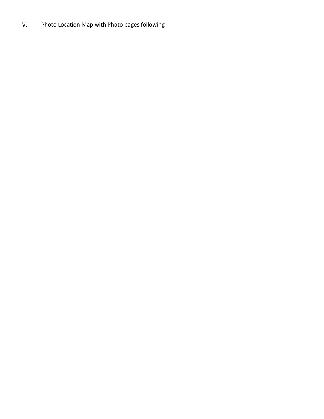### V. Photo Location Map with Photo pages following